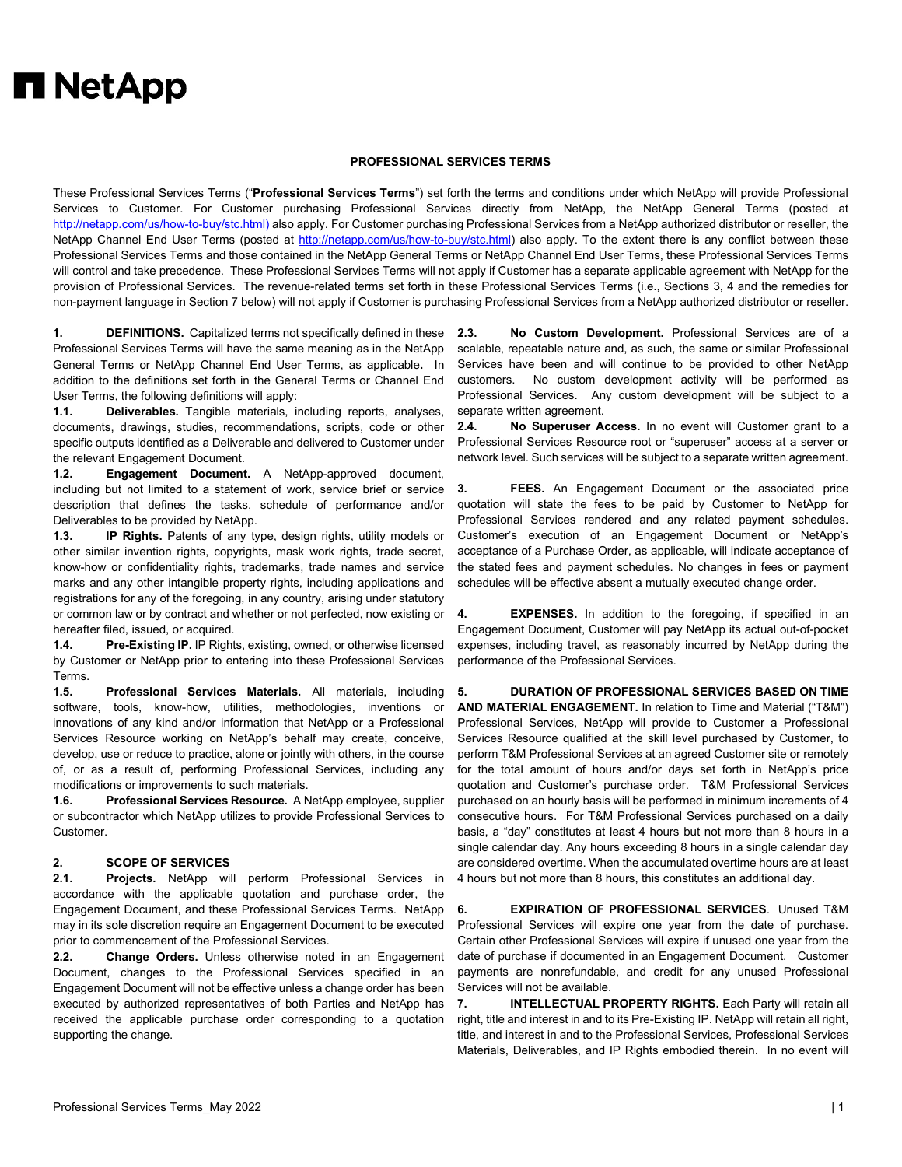## **H** NetApp

## **PROFESSIONAL SERVICES TERMS**

These Professional Services Terms ("**Professional Services Terms**") set forth the terms and conditions under which NetApp will provide Professional Services to Customer. For Customer purchasing Professional Services directly from NetApp, the NetApp General Terms (posted at [http://netapp.com/us/how-to-buy/stc.html\)](http://netapp.com/us/how-to-buy/stc.html) also apply. For Customer purchasing Professional Services from a NetApp authorized distributor or reseller, the NetApp Channel End User Terms (posted at [http://netapp.com/us/how-to-buy/stc.html\)](http://netapp.com/us/how-to-buy/stc.html) also apply. To the extent there is any conflict between these Professional Services Terms and those contained in the NetApp General Terms or NetApp Channel End User Terms, these Professional Services Terms will control and take precedence. These Professional Services Terms will not apply if Customer has a separate applicable agreement with NetApp for the provision of Professional Services. The revenue-related terms set forth in these Professional Services Terms (i.e., Sections 3, 4 and the remedies for non-payment language in Section 7 below) will not apply if Customer is purchasing Professional Services from a NetApp authorized distributor or reseller.

**1. DEFINITIONS.** Capitalized terms not specifically defined in these Professional Services Terms will have the same meaning as in the NetApp General Terms or NetApp Channel End User Terms, as applicable**.** In addition to the definitions set forth in the General Terms or Channel End User Terms, the following definitions will apply:

**1.1. Deliverables.** Tangible materials, including reports, analyses, documents, drawings, studies, recommendations, scripts, code or other specific outputs identified as a Deliverable and delivered to Customer under the relevant Engagement Document.

**1.2. Engagement Document.** A NetApp-approved document, including but not limited to a statement of work, service brief or service description that defines the tasks, schedule of performance and/or Deliverables to be provided by NetApp.

**1.3. IP Rights.** Patents of any type, design rights, utility models or other similar invention rights, copyrights, mask work rights, trade secret, know-how or confidentiality rights, trademarks, trade names and service marks and any other intangible property rights, including applications and registrations for any of the foregoing, in any country, arising under statutory or common law or by contract and whether or not perfected, now existing or hereafter filed, issued, or acquired.

**1.4. Pre-Existing IP.** IP Rights, existing, owned, or otherwise licensed by Customer or NetApp prior to entering into these Professional Services Terms.

**1.5. Professional Services Materials.** All materials, including software, tools, know-how, utilities, methodologies, inventions or innovations of any kind and/or information that NetApp or a Professional Services Resource working on NetApp's behalf may create, conceive, develop, use or reduce to practice, alone or jointly with others, in the course of, or as a result of, performing Professional Services, including any modifications or improvements to such materials.

**1.6. Professional Services Resource.** A NetApp employee, supplier or subcontractor which NetApp utilizes to provide Professional Services to Customer.

## **2. SCOPE OF SERVICES**

**2.1. Projects.** NetApp will perform Professional Services in accordance with the applicable quotation and purchase order, the Engagement Document, and these Professional Services Terms. NetApp may in its sole discretion require an Engagement Document to be executed prior to commencement of the Professional Services.

**2.2. Change Orders.** Unless otherwise noted in an Engagement Document, changes to the Professional Services specified in an Engagement Document will not be effective unless a change order has been executed by authorized representatives of both Parties and NetApp has received the applicable purchase order corresponding to a quotation supporting the change.

**2.3. No Custom Development.** Professional Services are of a scalable, repeatable nature and, as such, the same or similar Professional Services have been and will continue to be provided to other NetApp customers. No custom development activity will be performed as Professional Services. Any custom development will be subject to a separate written agreement.

**2.4. No Superuser Access.** In no event will Customer grant to a Professional Services Resource root or "superuser" access at a server or network level. Such services will be subject to a separate written agreement.

**3. FEES.** An Engagement Document or the associated price quotation will state the fees to be paid by Customer to NetApp for Professional Services rendered and any related payment schedules. Customer's execution of an Engagement Document or NetApp's acceptance of a Purchase Order, as applicable, will indicate acceptance of the stated fees and payment schedules. No changes in fees or payment schedules will be effective absent a mutually executed change order.

**4. EXPENSES.** In addition to the foregoing, if specified in an Engagement Document, Customer will pay NetApp its actual out-of-pocket expenses, including travel, as reasonably incurred by NetApp during the performance of the Professional Services.

**5. DURATION OF PROFESSIONAL SERVICES BASED ON TIME AND MATERIAL ENGAGEMENT.** In relation to Time and Material ("T&M") Professional Services, NetApp will provide to Customer a Professional Services Resource qualified at the skill level purchased by Customer, to perform T&M Professional Services at an agreed Customer site or remotely for the total amount of hours and/or days set forth in NetApp's price quotation and Customer's purchase order. T&M Professional Services purchased on an hourly basis will be performed in minimum increments of 4 consecutive hours. For T&M Professional Services purchased on a daily basis, a "day" constitutes at least 4 hours but not more than 8 hours in a single calendar day. Any hours exceeding 8 hours in a single calendar day are considered overtime. When the accumulated overtime hours are at least 4 hours but not more than 8 hours, this constitutes an additional day.

**6. EXPIRATION OF PROFESSIONAL SERVICES**. Unused T&M Professional Services will expire one year from the date of purchase. Certain other Professional Services will expire if unused one year from the date of purchase if documented in an Engagement Document. Customer payments are nonrefundable, and credit for any unused Professional Services will not be available.

**7. INTELLECTUAL PROPERTY RIGHTS.** Each Party will retain all right, title and interest in and to its Pre-Existing IP. NetApp will retain all right, title, and interest in and to the Professional Services, Professional Services Materials, Deliverables, and IP Rights embodied therein. In no event will